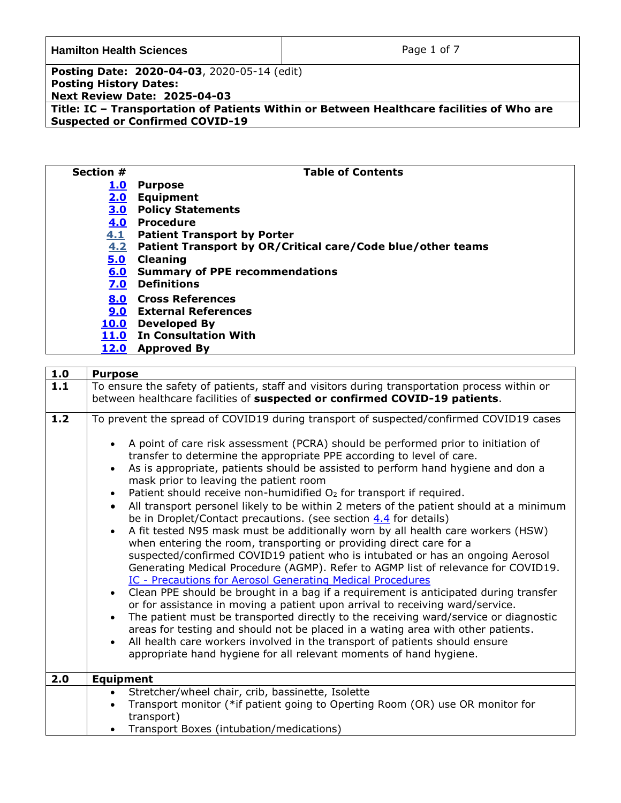Page 1 of 7

**Posting Date: 2020-04-03**, 2020-05-14 (edit) **Posting History Dates: Next Review Date: 2025-04-03 Title: IC – Transportation of Patients Within or Between Healthcare facilities of Who are Suspected or Confirmed COVID-19**

| Section #   | <b>Table of Contents</b>                                    |
|-------------|-------------------------------------------------------------|
| <u>1.0</u>  | <b>Purpose</b>                                              |
| 2.0         | <b>Equipment</b>                                            |
| 3.0         | <b>Policy Statements</b>                                    |
| 4.0         | <b>Procedure</b>                                            |
| 4.1         | <b>Patient Transport by Porter</b>                          |
| 4.2         | Patient Transport by OR/Critical care/Code blue/other teams |
| 5.0         | <b>Cleaning</b>                                             |
| 6.0         | <b>Summary of PPE recommendations</b>                       |
| 7.0         | <b>Definitions</b>                                          |
| 8.0         | <b>Cross References</b>                                     |
| 9.0         | <b>External References</b>                                  |
| <u>10.0</u> | <b>Developed By</b>                                         |
| <b>11.0</b> | <b>In Consultation With</b>                                 |
| 12.0        | <b>Approved By</b>                                          |

<span id="page-0-1"></span><span id="page-0-0"></span>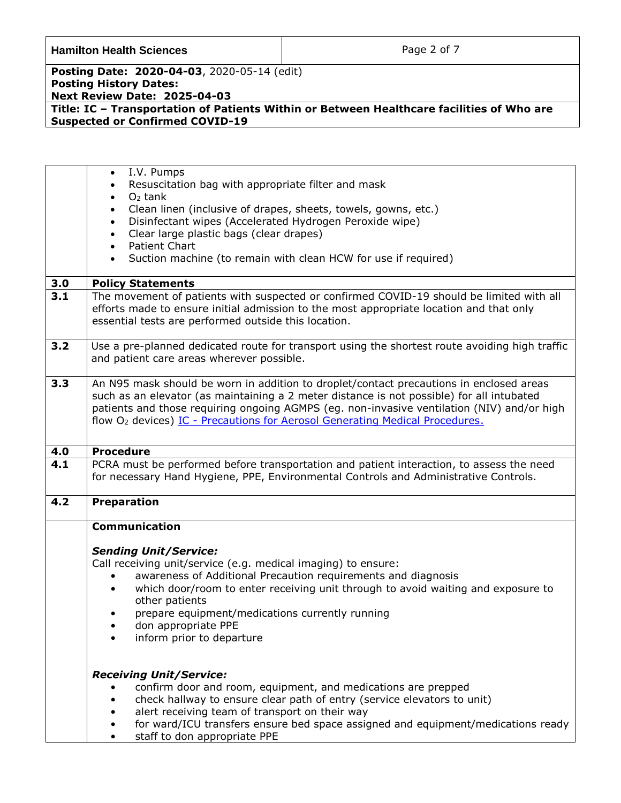**Hamilton Health Sciences Page 2 of 7** 

**Posting Date: 2020-04-03**, 2020-05-14 (edit) **Posting History Dates: Next Review Date: 2025-04-03**

<span id="page-1-1"></span><span id="page-1-0"></span>

|     | I.V. Pumps<br>$\bullet$                                                                         |  |
|-----|-------------------------------------------------------------------------------------------------|--|
|     | Resuscitation bag with appropriate filter and mask                                              |  |
|     | $O2$ tank<br>$\bullet$                                                                          |  |
|     | Clean linen (inclusive of drapes, sheets, towels, gowns, etc.)<br>$\bullet$                     |  |
|     | Disinfectant wipes (Accelerated Hydrogen Peroxide wipe)<br>$\bullet$                            |  |
|     | Clear large plastic bags (clear drapes)<br>$\bullet$                                            |  |
|     | <b>Patient Chart</b><br>$\bullet$                                                               |  |
|     | Suction machine (to remain with clean HCW for use if required)<br>$\bullet$                     |  |
|     |                                                                                                 |  |
| 3.0 | <b>Policy Statements</b>                                                                        |  |
| 3.1 | The movement of patients with suspected or confirmed COVID-19 should be limited with all        |  |
|     | efforts made to ensure initial admission to the most appropriate location and that only         |  |
|     | essential tests are performed outside this location.                                            |  |
|     |                                                                                                 |  |
| 3.2 | Use a pre-planned dedicated route for transport using the shortest route avoiding high traffic  |  |
|     |                                                                                                 |  |
|     | and patient care areas wherever possible.                                                       |  |
| 3.3 | An N95 mask should be worn in addition to droplet/contact precautions in enclosed areas         |  |
|     |                                                                                                 |  |
|     | such as an elevator (as maintaining a 2 meter distance is not possible) for all intubated       |  |
|     | patients and those requiring ongoing AGMPS (eg. non-invasive ventilation (NIV) and/or high      |  |
|     | flow O <sub>2</sub> devices) <u>IC - Precautions for Aerosol Generating Medical Procedures.</u> |  |
|     |                                                                                                 |  |
| 4.0 | <b>Procedure</b>                                                                                |  |
| 4.1 | PCRA must be performed before transportation and patient interaction, to assess the need        |  |
|     | for necessary Hand Hygiene, PPE, Environmental Controls and Administrative Controls.            |  |
|     |                                                                                                 |  |
| 4.2 | <b>Preparation</b>                                                                              |  |
|     |                                                                                                 |  |
|     | <b>Communication</b>                                                                            |  |
|     |                                                                                                 |  |
|     | <b>Sending Unit/Service:</b>                                                                    |  |
|     | Call receiving unit/service (e.g. medical imaging) to ensure:                                   |  |
|     | awareness of Additional Precaution requirements and diagnosis                                   |  |
|     | which door/room to enter receiving unit through to avoid waiting and exposure to                |  |
|     | other patients                                                                                  |  |
|     | prepare equipment/medications currently running                                                 |  |
|     | don appropriate PPE                                                                             |  |
|     | inform prior to departure                                                                       |  |
|     |                                                                                                 |  |
|     |                                                                                                 |  |
|     | <b>Receiving Unit/Service:</b>                                                                  |  |
|     | confirm door and room, equipment, and medications are prepped                                   |  |
|     | check hallway to ensure clear path of entry (service elevators to unit)                         |  |
|     | alert receiving team of transport on their way                                                  |  |
|     | for ward/ICU transfers ensure bed space assigned and equipment/medications ready                |  |
|     | staff to don appropriate PPE                                                                    |  |
|     |                                                                                                 |  |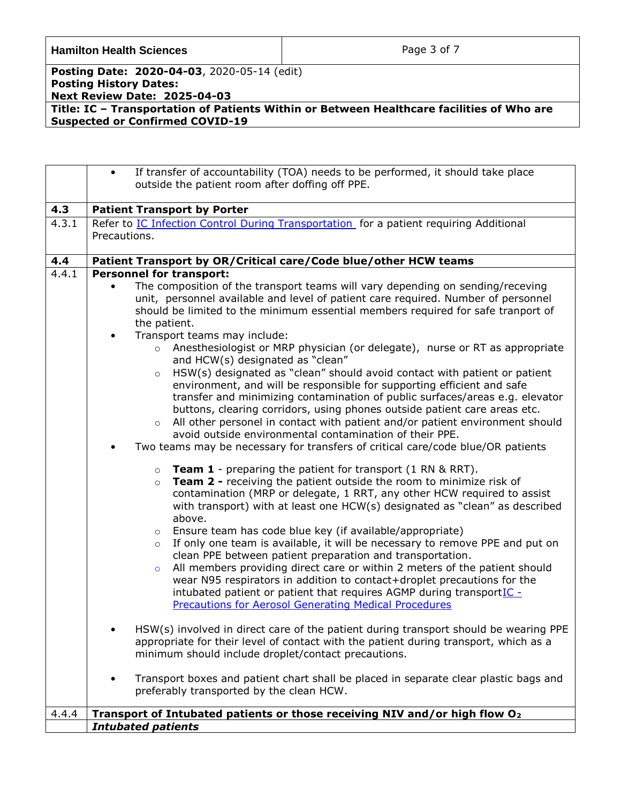| <b>Hamilton Health Sciences</b> |  |
|---------------------------------|--|
|---------------------------------|--|

Page 3 of 7

**Posting Date: 2020-04-03**, 2020-05-14 (edit) **Posting History Dates: Next Review Date: 2025-04-03**

<span id="page-2-0"></span>

|       | If transfer of accountability (TOA) needs to be performed, it should take place<br>$\bullet$                                                                                              |  |
|-------|-------------------------------------------------------------------------------------------------------------------------------------------------------------------------------------------|--|
|       | outside the patient room after doffing off PPE.                                                                                                                                           |  |
| 4.3   | <b>Patient Transport by Porter</b>                                                                                                                                                        |  |
| 4.3.1 | Refer to <b>IC Infection Control During Transportation</b> for a patient requiring Additional                                                                                             |  |
|       | Precautions.                                                                                                                                                                              |  |
|       |                                                                                                                                                                                           |  |
| 4.4   | Patient Transport by OR/Critical care/Code blue/other HCW teams                                                                                                                           |  |
| 4.4.1 | <b>Personnel for transport:</b>                                                                                                                                                           |  |
|       | The composition of the transport teams will vary depending on sending/receving                                                                                                            |  |
|       | unit, personnel available and level of patient care required. Number of personnel                                                                                                         |  |
|       | should be limited to the minimum essential members required for safe tranport of                                                                                                          |  |
|       | the patient.                                                                                                                                                                              |  |
|       | Transport teams may include:<br>$\bullet$                                                                                                                                                 |  |
|       | Anesthesiologist or MRP physician (or delegate), nurse or RT as appropriate<br>$\circ$<br>and HCW(s) designated as "clean"                                                                |  |
|       | HSW(s) designated as "clean" should avoid contact with patient or patient<br>$\circ$                                                                                                      |  |
|       | environment, and will be responsible for supporting efficient and safe                                                                                                                    |  |
|       | transfer and minimizing contamination of public surfaces/areas e.g. elevator                                                                                                              |  |
|       | buttons, clearing corridors, using phones outside patient care areas etc.                                                                                                                 |  |
|       | All other personel in contact with patient and/or patient environment should<br>$\circ$                                                                                                   |  |
|       | avoid outside environmental contamination of their PPE.                                                                                                                                   |  |
|       | Two teams may be necessary for transfers of critical care/code blue/OR patients                                                                                                           |  |
|       | $\circ$ Team 1 - preparing the patient for transport (1 RN & RRT).                                                                                                                        |  |
|       | Team 2 - receiving the patient outside the room to minimize risk of<br>$\circ$                                                                                                            |  |
|       | contamination (MRP or delegate, 1 RRT, any other HCW required to assist                                                                                                                   |  |
|       | with transport) with at least one HCW(s) designated as "clean" as described                                                                                                               |  |
|       | above.                                                                                                                                                                                    |  |
|       | Ensure team has code blue key (if available/appropriate)<br>$\circ$                                                                                                                       |  |
|       | If only one team is available, it will be necessary to remove PPE and put on<br>$\circ$                                                                                                   |  |
|       | clean PPE between patient preparation and transportation.                                                                                                                                 |  |
|       | All members providing direct care or within 2 meters of the patient should<br>$\circ$                                                                                                     |  |
|       | wear N95 respirators in addition to contact+droplet precautions for the                                                                                                                   |  |
|       | intubated patient or patient that requires AGMP during transportIC -                                                                                                                      |  |
|       | <b>Precautions for Aerosol Generating Medical Procedures</b>                                                                                                                              |  |
|       |                                                                                                                                                                                           |  |
|       | HSW(s) involved in direct care of the patient during transport should be wearing PPE<br>$\bullet$<br>appropriate for their level of contact with the patient during transport, which as a |  |
|       | minimum should include droplet/contact precautions.                                                                                                                                       |  |
|       | Transport boxes and patient chart shall be placed in separate clear plastic bags and<br>$\bullet$                                                                                         |  |
|       |                                                                                                                                                                                           |  |
|       | preferably transported by the clean HCW.                                                                                                                                                  |  |
|       |                                                                                                                                                                                           |  |
| 4.4.4 | Transport of Intubated patients or those receiving NIV and/or high flow O <sub>2</sub>                                                                                                    |  |
|       | <b>Intubated patients</b>                                                                                                                                                                 |  |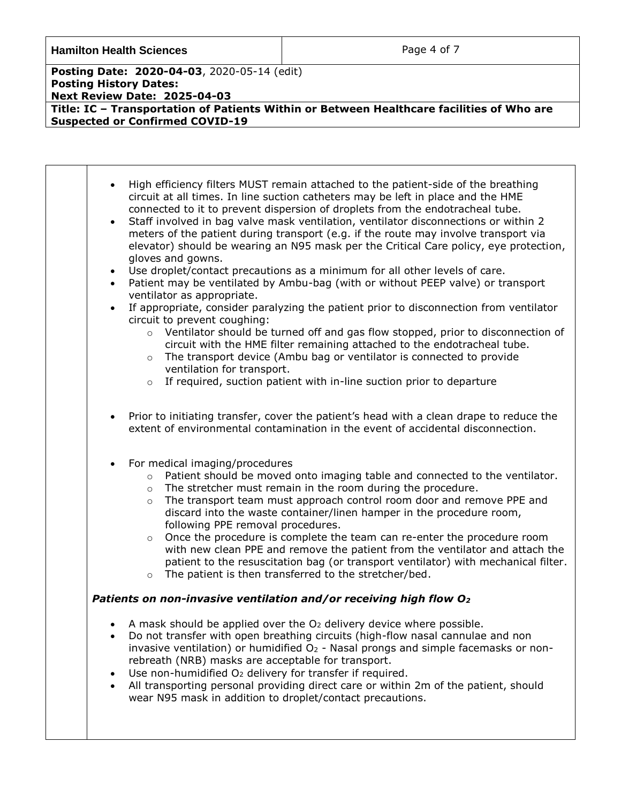**Hamilton Health Sciences Page 4 of 7** 

 $\overline{\phantom{a}}$ 

**Posting Date: 2020-04-03**, 2020-05-14 (edit) **Posting History Dates: Next Review Date: 2025-04-03**

| $\bullet$<br>$\bullet$<br>$\bullet$ | High efficiency filters MUST remain attached to the patient-side of the breathing<br>circuit at all times. In line suction catheters may be left in place and the HME<br>connected to it to prevent dispersion of droplets from the endotracheal tube.<br>Staff involved in bag valve mask ventilation, ventilator disconnections or within 2<br>meters of the patient during transport (e.g. if the route may involve transport via<br>elevator) should be wearing an N95 mask per the Critical Care policy, eye protection,<br>gloves and gowns.<br>Use droplet/contact precautions as a minimum for all other levels of care.<br>Patient may be ventilated by Ambu-bag (with or without PEEP valve) or transport<br>ventilator as appropriate.<br>If appropriate, consider paralyzing the patient prior to disconnection from ventilator<br>circuit to prevent coughing: |
|-------------------------------------|-----------------------------------------------------------------------------------------------------------------------------------------------------------------------------------------------------------------------------------------------------------------------------------------------------------------------------------------------------------------------------------------------------------------------------------------------------------------------------------------------------------------------------------------------------------------------------------------------------------------------------------------------------------------------------------------------------------------------------------------------------------------------------------------------------------------------------------------------------------------------------|
|                                     | $\circ$ Ventilator should be turned off and gas flow stopped, prior to disconnection of<br>circuit with the HME filter remaining attached to the endotracheal tube.<br>The transport device (Ambu bag or ventilator is connected to provide<br>$\circ$<br>ventilation for transport.<br>If required, suction patient with in-line suction prior to departure<br>$\circ$                                                                                                                                                                                                                                                                                                                                                                                                                                                                                                     |
|                                     | Prior to initiating transfer, cover the patient's head with a clean drape to reduce the<br>extent of environmental contamination in the event of accidental disconnection.                                                                                                                                                                                                                                                                                                                                                                                                                                                                                                                                                                                                                                                                                                  |
|                                     | For medical imaging/procedures<br>Patient should be moved onto imaging table and connected to the ventilator.<br>$\circ$<br>The stretcher must remain in the room during the procedure.<br>$\circ$<br>The transport team must approach control room door and remove PPE and<br>$\circ$<br>discard into the waste container/linen hamper in the procedure room,<br>following PPE removal procedures.<br>Once the procedure is complete the team can re-enter the procedure room<br>$\circ$<br>with new clean PPE and remove the patient from the ventilator and attach the<br>patient to the resuscitation bag (or transport ventilator) with mechanical filter.<br>The patient is then transferred to the stretcher/bed.<br>$\circ$                                                                                                                                         |
| $\bullet$<br>$\bullet$              | Patients on non-invasive ventilation and/or receiving high flow O2<br>A mask should be applied over the $O2$ delivery device where possible.<br>Do not transfer with open breathing circuits (high-flow nasal cannulae and non<br>invasive ventilation) or humidified O <sub>2</sub> - Nasal prongs and simple facemasks or non-<br>rebreath (NRB) masks are acceptable for transport.<br>Use non-humidified O <sub>2</sub> delivery for transfer if required.<br>All transporting personal providing direct care or within 2m of the patient, should<br>wear N95 mask in addition to droplet/contact precautions.                                                                                                                                                                                                                                                          |
|                                     |                                                                                                                                                                                                                                                                                                                                                                                                                                                                                                                                                                                                                                                                                                                                                                                                                                                                             |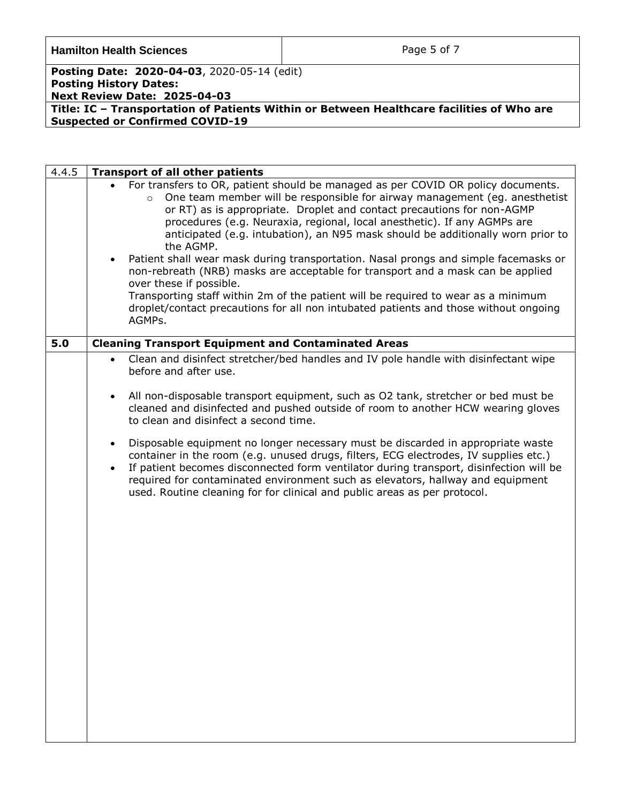**Hamilton Health Sciences Page 5 of 7** 

**Posting Date: 2020-04-03**, 2020-05-14 (edit) **Posting History Dates: Next Review Date: 2025-04-03**

<span id="page-4-0"></span>

| 4.4.5 | <b>Transport of all other patients</b>                                                                                                                                                                                                                                                                                                                                                                                                                                                                                                                                                                                                                                                                                                                                                                                                   |
|-------|------------------------------------------------------------------------------------------------------------------------------------------------------------------------------------------------------------------------------------------------------------------------------------------------------------------------------------------------------------------------------------------------------------------------------------------------------------------------------------------------------------------------------------------------------------------------------------------------------------------------------------------------------------------------------------------------------------------------------------------------------------------------------------------------------------------------------------------|
|       | For transfers to OR, patient should be managed as per COVID OR policy documents.<br>One team member will be responsible for airway management (eg. anesthetist<br>$\circ$<br>or RT) as is appropriate. Droplet and contact precautions for non-AGMP<br>procedures (e.g. Neuraxia, regional, local anesthetic). If any AGMPs are<br>anticipated (e.g. intubation), an N95 mask should be additionally worn prior to<br>the AGMP.<br>Patient shall wear mask during transportation. Nasal prongs and simple facemasks or<br>$\bullet$<br>non-rebreath (NRB) masks are acceptable for transport and a mask can be applied<br>over these if possible.<br>Transporting staff within 2m of the patient will be required to wear as a minimum<br>droplet/contact precautions for all non intubated patients and those without ongoing<br>AGMPs. |
| 5.0   | <b>Cleaning Transport Equipment and Contaminated Areas</b>                                                                                                                                                                                                                                                                                                                                                                                                                                                                                                                                                                                                                                                                                                                                                                               |
|       | Clean and disinfect stretcher/bed handles and IV pole handle with disinfectant wipe<br>$\bullet$<br>before and after use.                                                                                                                                                                                                                                                                                                                                                                                                                                                                                                                                                                                                                                                                                                                |
|       | All non-disposable transport equipment, such as O2 tank, stretcher or bed must be<br>$\bullet$<br>cleaned and disinfected and pushed outside of room to another HCW wearing gloves<br>to clean and disinfect a second time.                                                                                                                                                                                                                                                                                                                                                                                                                                                                                                                                                                                                              |
|       | Disposable equipment no longer necessary must be discarded in appropriate waste<br>$\bullet$<br>container in the room (e.g. unused drugs, filters, ECG electrodes, IV supplies etc.)<br>If patient becomes disconnected form ventilator during transport, disinfection will be<br>$\bullet$<br>required for contaminated environment such as elevators, hallway and equipment<br>used. Routine cleaning for for clinical and public areas as per protocol.                                                                                                                                                                                                                                                                                                                                                                               |
|       |                                                                                                                                                                                                                                                                                                                                                                                                                                                                                                                                                                                                                                                                                                                                                                                                                                          |
|       |                                                                                                                                                                                                                                                                                                                                                                                                                                                                                                                                                                                                                                                                                                                                                                                                                                          |
|       |                                                                                                                                                                                                                                                                                                                                                                                                                                                                                                                                                                                                                                                                                                                                                                                                                                          |
|       |                                                                                                                                                                                                                                                                                                                                                                                                                                                                                                                                                                                                                                                                                                                                                                                                                                          |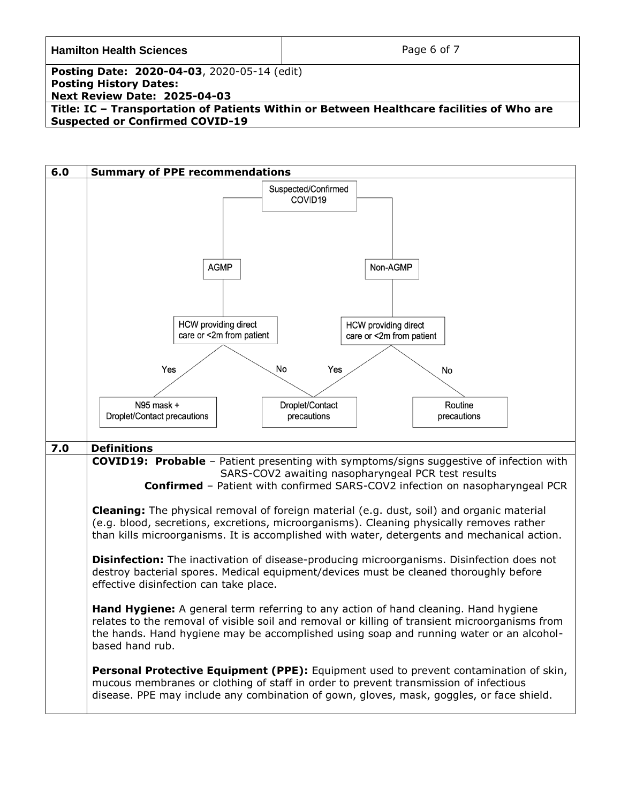| <b>Hamilton Health Sciences</b>                                                           | Page 6 of 7 |
|-------------------------------------------------------------------------------------------|-------------|
| <b>Posting Date: 2020-04-03, 2020-05-14 (edit)</b>                                        |             |
| <b>Posting History Dates:</b>                                                             |             |
| <b>Next Review Date: 2025-04-03</b>                                                       |             |
| Title: IC - Transportation of Patients Within or Between Healthcare facilities of Who are |             |
| <b>Suspected or Confirmed COVID-19</b>                                                    |             |

<span id="page-5-1"></span><span id="page-5-0"></span>